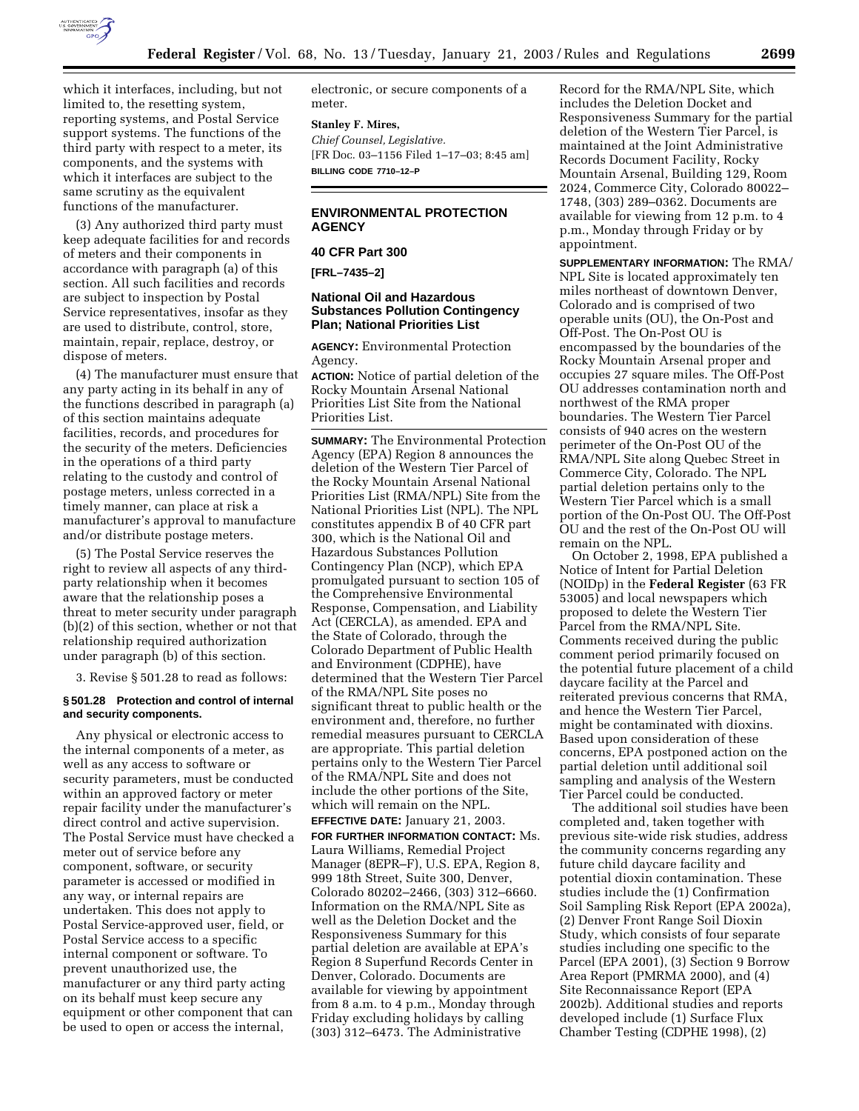

which it interfaces, including, but not limited to, the resetting system, reporting systems, and Postal Service support systems. The functions of the third party with respect to a meter, its components, and the systems with which it interfaces are subject to the same scrutiny as the equivalent functions of the manufacturer.

(3) Any authorized third party must keep adequate facilities for and records of meters and their components in accordance with paragraph (a) of this section. All such facilities and records are subject to inspection by Postal Service representatives, insofar as they are used to distribute, control, store, maintain, repair, replace, destroy, or dispose of meters.

(4) The manufacturer must ensure that any party acting in its behalf in any of the functions described in paragraph (a) of this section maintains adequate facilities, records, and procedures for the security of the meters. Deficiencies in the operations of a third party relating to the custody and control of postage meters, unless corrected in a timely manner, can place at risk a manufacturer's approval to manufacture and/or distribute postage meters.

(5) The Postal Service reserves the right to review all aspects of any thirdparty relationship when it becomes aware that the relationship poses a threat to meter security under paragraph (b)(2) of this section, whether or not that relationship required authorization under paragraph (b) of this section.

3. Revise § 501.28 to read as follows:

#### **§ 501.28 Protection and control of internal and security components.**

Any physical or electronic access to the internal components of a meter, as well as any access to software or security parameters, must be conducted within an approved factory or meter repair facility under the manufacturer's direct control and active supervision. The Postal Service must have checked a meter out of service before any component, software, or security parameter is accessed or modified in any way, or internal repairs are undertaken. This does not apply to Postal Service-approved user, field, or Postal Service access to a specific internal component or software. To prevent unauthorized use, the manufacturer or any third party acting on its behalf must keep secure any equipment or other component that can be used to open or access the internal,

electronic, or secure components of a meter.

#### **Stanley F. Mires,**

*Chief Counsel, Legislative.* [FR Doc. 03–1156 Filed 1–17–03; 8:45 am] **BILLING CODE 7710–12–P**

### **ENVIRONMENTAL PROTECTION AGENCY**

# **40 CFR Part 300**

**[FRL–7435–2]** 

## **National Oil and Hazardous Substances Pollution Contingency Plan; National Priorities List**

**AGENCY:** Environmental Protection Agency.

**ACTION:** Notice of partial deletion of the Rocky Mountain Arsenal National Priorities List Site from the National Priorities List.

**SUMMARY:** The Environmental Protection Agency (EPA) Region 8 announces the deletion of the Western Tier Parcel of the Rocky Mountain Arsenal National Priorities List (RMA/NPL) Site from the National Priorities List (NPL). The NPL constitutes appendix B of 40 CFR part 300, which is the National Oil and Hazardous Substances Pollution Contingency Plan (NCP), which EPA promulgated pursuant to section 105 of the Comprehensive Environmental Response, Compensation, and Liability Act (CERCLA), as amended. EPA and the State of Colorado, through the Colorado Department of Public Health and Environment (CDPHE), have determined that the Western Tier Parcel of the RMA/NPL Site poses no significant threat to public health or the environment and, therefore, no further remedial measures pursuant to CERCLA are appropriate. This partial deletion pertains only to the Western Tier Parcel of the RMA/NPL Site and does not include the other portions of the Site, which will remain on the NPL.

#### **EFFECTIVE DATE:** January 21, 2003.

**FOR FURTHER INFORMATION CONTACT:** Ms. Laura Williams, Remedial Project Manager (8EPR–F), U.S. EPA, Region 8, 999 18th Street, Suite 300, Denver, Colorado 80202–2466, (303) 312–6660. Information on the RMA/NPL Site as well as the Deletion Docket and the Responsiveness Summary for this partial deletion are available at EPA's Region 8 Superfund Records Center in Denver, Colorado. Documents are available for viewing by appointment from 8 a.m. to 4 p.m., Monday through Friday excluding holidays by calling (303) 312–6473. The Administrative

Record for the RMA/NPL Site, which includes the Deletion Docket and Responsiveness Summary for the partial deletion of the Western Tier Parcel, is maintained at the Joint Administrative Records Document Facility, Rocky Mountain Arsenal, Building 129, Room 2024, Commerce City, Colorado 80022– 1748, (303) 289–0362. Documents are available for viewing from 12 p.m. to 4 p.m., Monday through Friday or by appointment.

**SUPPLEMENTARY INFORMATION:** The RMA/ NPL Site is located approximately ten miles northeast of downtown Denver, Colorado and is comprised of two operable units (OU), the On-Post and Off-Post. The On-Post OU is encompassed by the boundaries of the Rocky Mountain Arsenal proper and occupies 27 square miles. The Off-Post OU addresses contamination north and northwest of the RMA proper boundaries. The Western Tier Parcel consists of 940 acres on the western perimeter of the On-Post OU of the RMA/NPL Site along Quebec Street in Commerce City, Colorado. The NPL partial deletion pertains only to the Western Tier Parcel which is a small portion of the On-Post OU. The Off-Post OU and the rest of the On-Post OU will remain on the NPL.

On October 2, 1998, EPA published a Notice of Intent for Partial Deletion (NOIDp) in the **Federal Register** (63 FR 53005) and local newspapers which proposed to delete the Western Tier Parcel from the RMA/NPL Site. Comments received during the public comment period primarily focused on the potential future placement of a child daycare facility at the Parcel and reiterated previous concerns that RMA, and hence the Western Tier Parcel, might be contaminated with dioxins. Based upon consideration of these concerns, EPA postponed action on the partial deletion until additional soil sampling and analysis of the Western Tier Parcel could be conducted.

The additional soil studies have been completed and, taken together with previous site-wide risk studies, address the community concerns regarding any future child daycare facility and potential dioxin contamination. These studies include the (1) Confirmation Soil Sampling Risk Report (EPA 2002a), (2) Denver Front Range Soil Dioxin Study, which consists of four separate studies including one specific to the Parcel (EPA 2001), (3) Section 9 Borrow Area Report (PMRMA 2000), and (4) Site Reconnaissance Report (EPA 2002b). Additional studies and reports developed include (1) Surface Flux Chamber Testing (CDPHE 1998), (2)